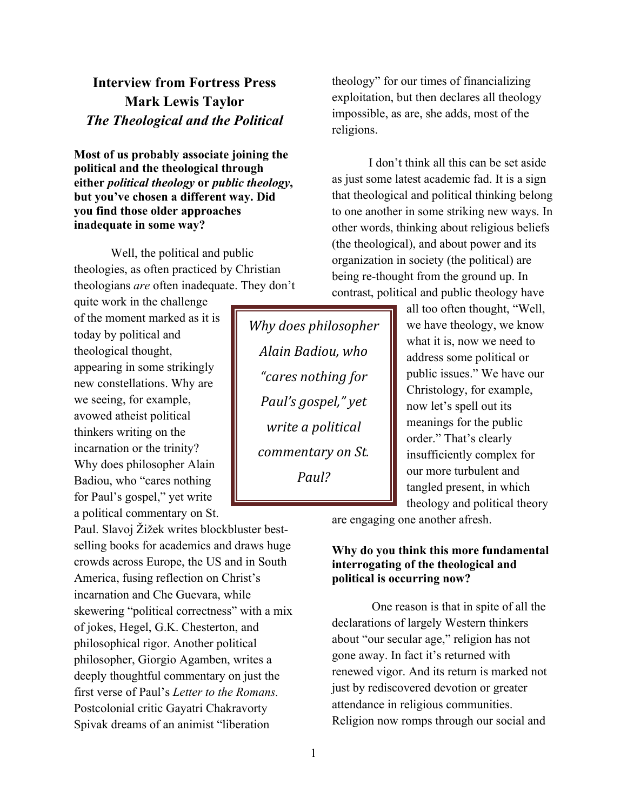# **Interview from Fortress Press Mark Lewis Taylor** *The Theological and the Political*

**Most of us probably associate joining the political and the theological through either** *political theology* **or** *public theology***, but you've chosen a different way. Did you find those older approaches inadequate in some way?** 

Well, the political and public theologies, as often practiced by Christian theologians *are* often inadequate. They don't

quite work in the challenge of the moment marked as it is today by political and theological thought, appearing in some strikingly new constellations. Why are we seeing, for example, avowed atheist political thinkers writing on the incarnation or the trinity? Why does philosopher Alain Badiou, who "cares nothing for Paul's gospel," yet write a political commentary on St.

Paul. Slavoj Žižek writes blockbluster bestselling books for academics and draws huge crowds across Europe, the US and in South America, fusing reflection on Christ's incarnation and Che Guevara, while skewering "political correctness" with a mix of jokes, Hegel, G.K. Chesterton, and philosophical rigor. Another political philosopher, Giorgio Agamben, writes a deeply thoughtful commentary on just the first verse of Paul's *Letter to the Romans.*  Postcolonial critic Gayatri Chakravorty Spivak dreams of an animist "liberation

**Why does philosopher** *Alain\$Badiou,\$who\$ "cares\$nothing\$for\$ Paul's gospel,"* yet *write\$a\$political\$ commentary\$on\$St.\$ Paul?*

theology" for our times of financializing exploitation, but then declares all theology impossible, as are, she adds, most of the religions.

I don't think all this can be set aside as just some latest academic fad. It is a sign that theological and political thinking belong to one another in some striking new ways. In other words, thinking about religious beliefs (the theological), and about power and its organization in society (the political) are being re-thought from the ground up. In contrast, political and public theology have

> all too often thought, "Well, we have theology, we know what it is, now we need to address some political or public issues." We have our Christology, for example, now let's spell out its meanings for the public order." That's clearly insufficiently complex for our more turbulent and tangled present, in which theology and political theory

are engaging one another afresh.

#### **Why do you think this more fundamental interrogating of the theological and political is occurring now?**

One reason is that in spite of all the declarations of largely Western thinkers about "our secular age," religion has not gone away. In fact it's returned with renewed vigor. And its return is marked not just by rediscovered devotion or greater attendance in religious communities. Religion now romps through our social and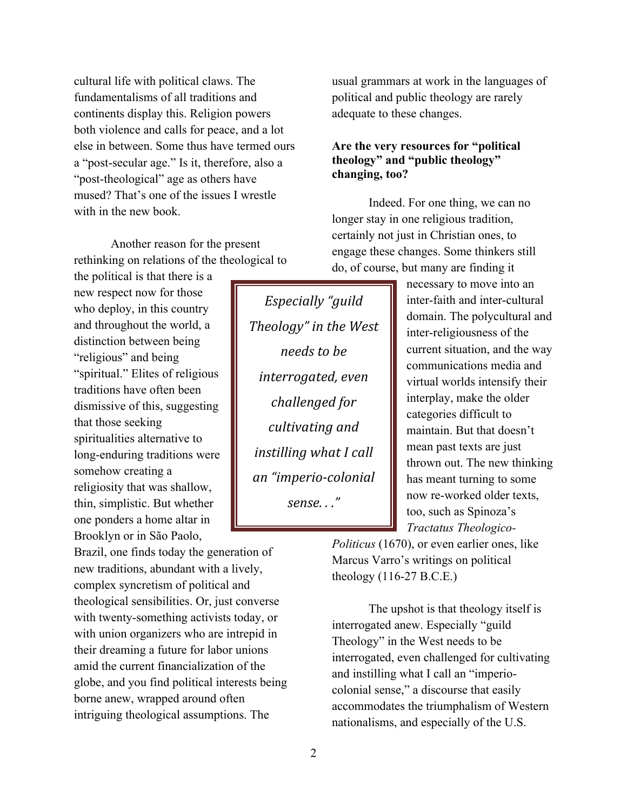cultural life with political claws. The fundamentalisms of all traditions and continents display this. Religion powers both violence and calls for peace, and a lot else in between. Some thus have termed ours a "post-secular age." Is it, therefore, also a "post-theological" age as others have mused? That's one of the issues I wrestle with in the new book.

Another reason for the present rethinking on relations of the theological to

the political is that there is a new respect now for those who deploy, in this country and throughout the world, a distinction between being "religious" and being "spiritual." Elites of religious traditions have often been dismissive of this, suggesting that those seeking spiritualities alternative to long-enduring traditions were somehow creating a religiosity that was shallow, thin, simplistic. But whether one ponders a home altar in Brooklyn or in São Paolo,

Brazil, one finds today the generation of new traditions, abundant with a lively, complex syncretism of political and theological sensibilities. Or, just converse with twenty-something activists today, or with union organizers who are intrepid in their dreaming a future for labor unions amid the current financialization of the globe, and you find political interests being borne anew, wrapped around often intriguing theological assumptions. The

*Especially\$"guild\$ Theology"* in the West *needs to be interrogated,\$even\$* challenged for *cultivating\$and\$ instilling\$what\$I\$call\$ an "imperio-colonial sense.\$.\$."*

usual grammars at work in the languages of political and public theology are rarely adequate to these changes.

## **Are the very resources for "political theology" and "public theology" changing, too?**

Indeed. For one thing, we can no longer stay in one religious tradition, certainly not just in Christian ones, to engage these changes. Some thinkers still do, of course, but many are finding it

> necessary to move into an inter-faith and inter-cultural domain. The polycultural and inter-religiousness of the current situation, and the way communications media and virtual worlds intensify their interplay, make the older categories difficult to maintain. But that doesn't mean past texts are just thrown out. The new thinking has meant turning to some now re-worked older texts, too, such as Spinoza's *Tractatus Theologico-*

*Politicus* (1670), or even earlier ones, like Marcus Varro's writings on political theology (116-27 B.C.E.)

The upshot is that theology itself is interrogated anew. Especially "guild Theology" in the West needs to be interrogated, even challenged for cultivating and instilling what I call an "imperiocolonial sense," a discourse that easily accommodates the triumphalism of Western nationalisms, and especially of the U.S.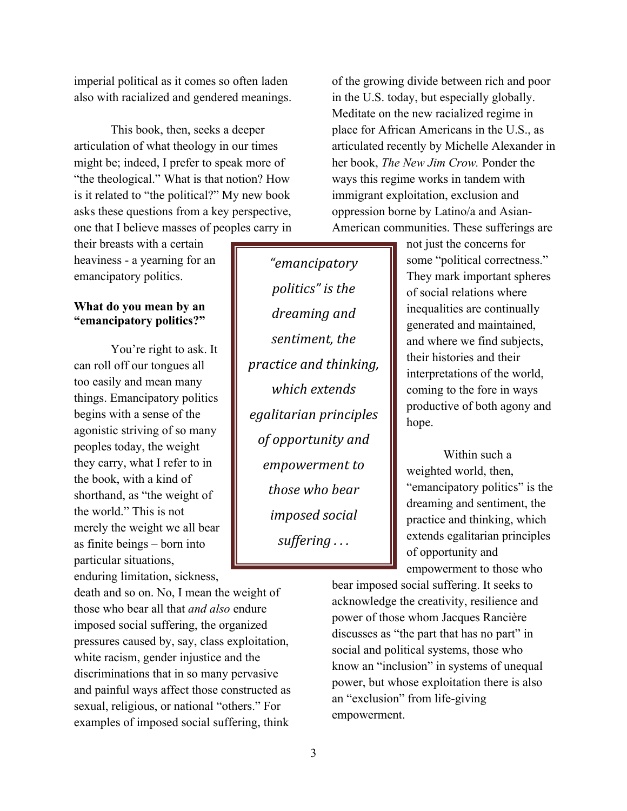imperial political as it comes so often laden also with racialized and gendered meanings.

 This book, then, seeks a deeper articulation of what theology in our times might be; indeed, I prefer to speak more of "the theological." What is that notion? How is it related to "the political?" My new book asks these questions from a key perspective, one that I believe masses of peoples carry in

their breasts with a certain heaviness - a yearning for an emancipatory politics.

## **What do you mean by an "emancipatory politics?"**

You're right to ask. It can roll off our tongues all too easily and mean many things. Emancipatory politics begins with a sense of the agonistic striving of so many peoples today, the weight they carry, what I refer to in the book, with a kind of shorthand, as "the weight of the world." This is not merely the weight we all bear as finite beings – born into particular situations, enduring limitation, sickness,

death and so on. No, I mean the weight of those who bear all that *and also* endure imposed social suffering, the organized pressures caused by, say, class exploitation, white racism, gender injustice and the discriminations that in so many pervasive and painful ways affect those constructed as sexual, religious, or national "others." For examples of imposed social suffering, think

*"emancipatory\$ politics"* is the *dreaming\$and\$ sentiment, the practice\$and\$thinking,\$ which\$extends\$ egalitarian\$principles\$*  $of$  opportunity and *empowerment\$to\$* those who bear *imposed* social *suffering ...* 

of the growing divide between rich and poor in the U.S. today, but especially globally. Meditate on the new racialized regime in place for African Americans in the U.S., as articulated recently by Michelle Alexander in her book, *The New Jim Crow.* Ponder the ways this regime works in tandem with immigrant exploitation, exclusion and oppression borne by Latino/a and Asian-American communities. These sufferings are

> not just the concerns for some "political correctness." They mark important spheres of social relations where inequalities are continually generated and maintained, and where we find subjects, their histories and their interpretations of the world, coming to the fore in ways productive of both agony and hope.

Within such a weighted world, then, "emancipatory politics" is the dreaming and sentiment, the practice and thinking, which extends egalitarian principles of opportunity and empowerment to those who

bear imposed social suffering. It seeks to acknowledge the creativity, resilience and power of those whom Jacques Rancière discusses as "the part that has no part" in social and political systems, those who know an "inclusion" in systems of unequal power, but whose exploitation there is also an "exclusion" from life-giving empowerment.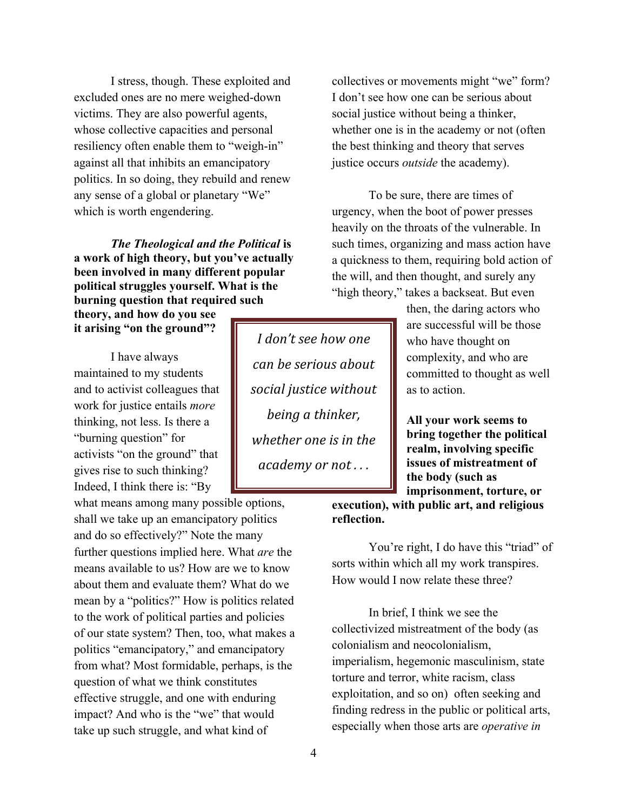I stress, though. These exploited and excluded ones are no mere weighed-down victims. They are also powerful agents, whose collective capacities and personal resiliency often enable them to "weigh-in" against all that inhibits an emancipatory politics. In so doing, they rebuild and renew any sense of a global or planetary "We" which is worth engendering.

*The Theological and the Political* **is a work of high theory, but you've actually been involved in many different popular political struggles yourself. What is the burning question that required such** 

**theory, and how do you see it arising "on the ground"?**

I have always maintained to my students and to activist colleagues that work for justice entails *more*  thinking, not less. Is there a "burning question" for activists "on the ground" that gives rise to such thinking? Indeed, I think there is: "By

what means among many possible options, shall we take up an emancipatory politics and do so effectively?" Note the many further questions implied here. What *are* the means available to us? How are we to know about them and evaluate them? What do we mean by a "politics?" How is politics related to the work of political parties and policies of our state system? Then, too, what makes a politics "emancipatory," and emancipatory from what? Most formidable, perhaps, is the question of what we think constitutes effective struggle, and one with enduring impact? And who is the "we" that would take up such struggle, and what kind of

*I* don't see how one *can\$be\$serious\$about\$* social justice without *being a thinker, whether one is in the academy or not...* 

collectives or movements might "we" form? I don't see how one can be serious about social justice without being a thinker, whether one is in the academy or not (often the best thinking and theory that serves justice occurs *outside* the academy).

To be sure, there are times of urgency, when the boot of power presses heavily on the throats of the vulnerable. In such times, organizing and mass action have a quickness to them, requiring bold action of the will, and then thought, and surely any "high theory," takes a backseat. But even

> then, the daring actors who are successful will be those who have thought on complexity, and who are committed to thought as well as to action.

**All your work seems to bring together the political realm, involving specific issues of mistreatment of the body (such as imprisonment, torture, or** 

**execution), with public art, and religious reflection.**

You're right, I do have this "triad" of sorts within which all my work transpires. How would I now relate these three?

In brief, I think we see the collectivized mistreatment of the body (as colonialism and neocolonialism, imperialism, hegemonic masculinism, state torture and terror, white racism, class exploitation, and so on) often seeking and finding redress in the public or political arts, especially when those arts are *operative in*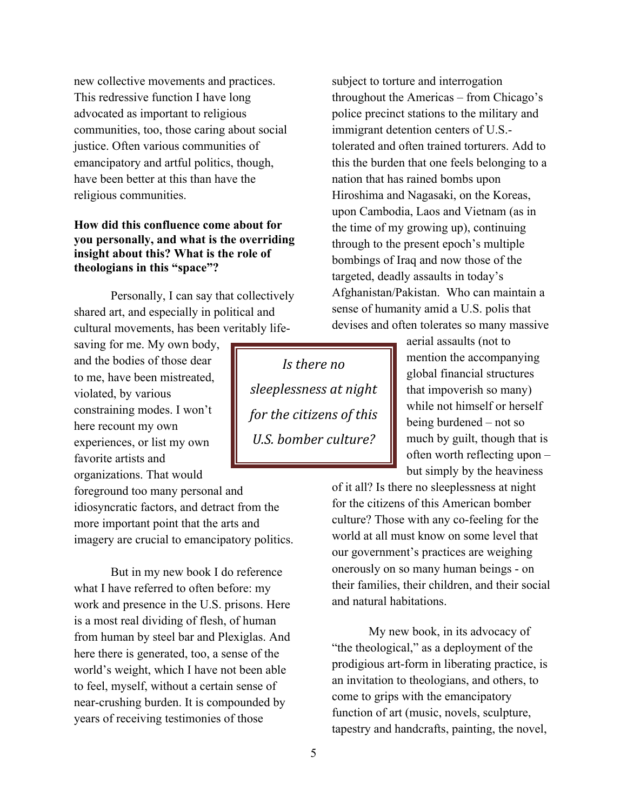new collective movements and practices. This redressive function I have long advocated as important to religious communities, too, those caring about social justice. Often various communities of emancipatory and artful politics, though, have been better at this than have the religious communities.

## **How did this confluence come about for you personally, and what is the overriding insight about this? What is the role of theologians in this "space"?**

Personally, I can say that collectively shared art, and especially in political and cultural movements, has been veritably life-

saving for me. My own body, and the bodies of those dear to me, have been mistreated, violated, by various constraining modes. I won't here recount my own experiences, or list my own favorite artists and organizations. That would

foreground too many personal and idiosyncratic factors, and detract from the more important point that the arts and imagery are crucial to emancipatory politics.

But in my new book I do reference what I have referred to often before: my work and presence in the U.S. prisons. Here is a most real dividing of flesh, of human from human by steel bar and Plexiglas. And here there is generated, too, a sense of the world's weight, which I have not been able to feel, myself, without a certain sense of near-crushing burden. It is compounded by years of receiving testimonies of those

subject to torture and interrogation throughout the Americas – from Chicago's police precinct stations to the military and immigrant detention centers of U.S. tolerated and often trained torturers. Add to this the burden that one feels belonging to a nation that has rained bombs upon Hiroshima and Nagasaki, on the Koreas, upon Cambodia, Laos and Vietnam (as in the time of my growing up), continuing through to the present epoch's multiple bombings of Iraq and now those of the targeted, deadly assaults in today's Afghanistan/Pakistan. Who can maintain a sense of humanity amid a U.S. polis that devises and often tolerates so many massive

*Is there no sleeplessness\$at\$night\$ for the citizens of this U.S. bomber culture?* 

aerial assaults (not to mention the accompanying global financial structures that impoverish so many) while not himself or herself being burdened – not so much by guilt, though that is often worth reflecting upon – but simply by the heaviness

of it all? Is there no sleeplessness at night for the citizens of this American bomber culture? Those with any co-feeling for the world at all must know on some level that our government's practices are weighing onerously on so many human beings - on their families, their children, and their social and natural habitations.

My new book, in its advocacy of "the theological," as a deployment of the prodigious art-form in liberating practice, is an invitation to theologians, and others, to come to grips with the emancipatory function of art (music, novels, sculpture, tapestry and handcrafts, painting, the novel,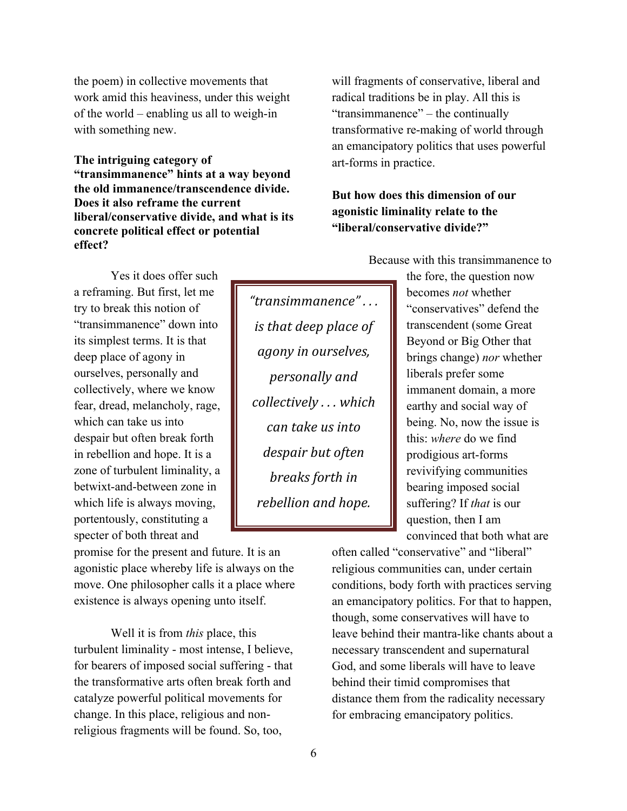the poem) in collective movements that work amid this heaviness, under this weight of the world – enabling us all to weigh-in with something new.

**The intriguing category of "transimmanence" hints at a way beyond the old immanence/transcendence divide. Does it also reframe the current liberal/conservative divide, and what is its concrete political effect or potential effect?**

Yes it does offer such a reframing. But first, let me try to break this notion of "transimmanence" down into its simplest terms. It is that deep place of agony in ourselves, personally and collectively, where we know fear, dread, melancholy, rage, which can take us into despair but often break forth in rebellion and hope. It is a zone of turbulent liminality, a betwixt-and-between zone in which life is always moving, portentously, constituting a specter of both threat and

promise for the present and future. It is an agonistic place whereby life is always on the move. One philosopher calls it a place where existence is always opening unto itself.

Well it is from *this* place, this turbulent liminality - most intense, I believe, for bearers of imposed social suffering - that the transformative arts often break forth and catalyze powerful political movements for change. In this place, religious and nonreligious fragments will be found. So, too,

*"transimmanence"\$.\$.\$.\$ is that deep place of agony\$in\$ourselves,\$ personally\$and\$ collectively\$.\$.\$.\$which\$ can\$take\$us\$into\$ despair\$but\$often\$ breaks forth in* rebellion and hope.

will fragments of conservative, liberal and radical traditions be in play. All this is "transimmanence" – the continually transformative re-making of world through an emancipatory politics that uses powerful art-forms in practice.

# **But how does this dimension of our agonistic liminality relate to the "liberal/conservative divide?"**

Because with this transimmanence to

the fore, the question now becomes *not* whether "conservatives" defend the transcendent (some Great Beyond or Big Other that brings change) *nor* whether liberals prefer some immanent domain, a more earthy and social way of being. No, now the issue is this: *where* do we find prodigious art-forms revivifying communities bearing imposed social suffering? If *that* is our question, then I am convinced that both what are

often called "conservative" and "liberal" religious communities can, under certain conditions, body forth with practices serving an emancipatory politics. For that to happen, though, some conservatives will have to leave behind their mantra-like chants about a necessary transcendent and supernatural God, and some liberals will have to leave behind their timid compromises that distance them from the radicality necessary for embracing emancipatory politics.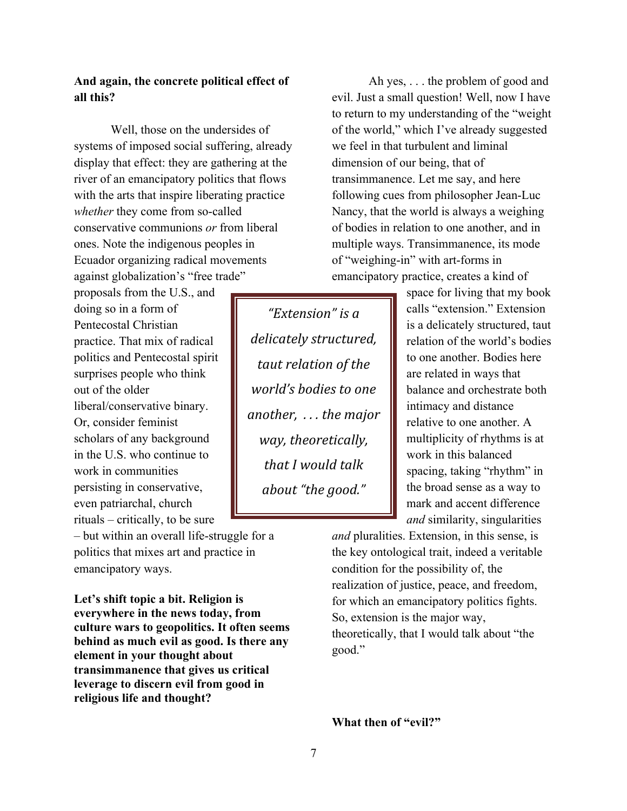# **And again, the concrete political effect of all this?**

Well, those on the undersides of systems of imposed social suffering, already display that effect: they are gathering at the river of an emancipatory politics that flows with the arts that inspire liberating practice *whether* they come from so-called conservative communions *or* from liberal ones. Note the indigenous peoples in Ecuador organizing radical movements against globalization's "free trade"

proposals from the U.S., and doing so in a form of Pentecostal Christian practice. That mix of radical politics and Pentecostal spirit surprises people who think out of the older liberal/conservative binary. Or, consider feminist scholars of any background in the U.S. who continue to work in communities persisting in conservative, even patriarchal, church rituals – critically, to be sure

– but within an overall life-struggle for a politics that mixes art and practice in emancipatory ways.

**Let's shift topic a bit. Religion is everywhere in the news today, from culture wars to geopolitics. It often seems behind as much evil as good. Is there any element in your thought about transimmanence that gives us critical leverage to discern evil from good in religious life and thought?**

*"Extension"\$is\$a\$ delicately\$structured,\$ taut relation of the world's bodies to one another, ... the major way,\$theoretically,\$* that I would talk *about\$"the\$good."*

Ah yes, . . . the problem of good and evil. Just a small question! Well, now I have to return to my understanding of the "weight of the world," which I've already suggested we feel in that turbulent and liminal dimension of our being, that of transimmanence. Let me say, and here following cues from philosopher Jean-Luc Nancy, that the world is always a weighing of bodies in relation to one another, and in multiple ways. Transimmanence, its mode of "weighing-in" with art-forms in emancipatory practice, creates a kind of

> space for living that my book calls "extension." Extension is a delicately structured, taut relation of the world's bodies to one another. Bodies here are related in ways that balance and orchestrate both intimacy and distance relative to one another. A multiplicity of rhythms is at work in this balanced spacing, taking "rhythm" in the broad sense as a way to mark and accent difference *and* similarity, singularities

*and* pluralities. Extension, in this sense, is the key ontological trait, indeed a veritable condition for the possibility of, the realization of justice, peace, and freedom, for which an emancipatory politics fights. So, extension is the major way, theoretically, that I would talk about "the good."

**What then of "evil?"**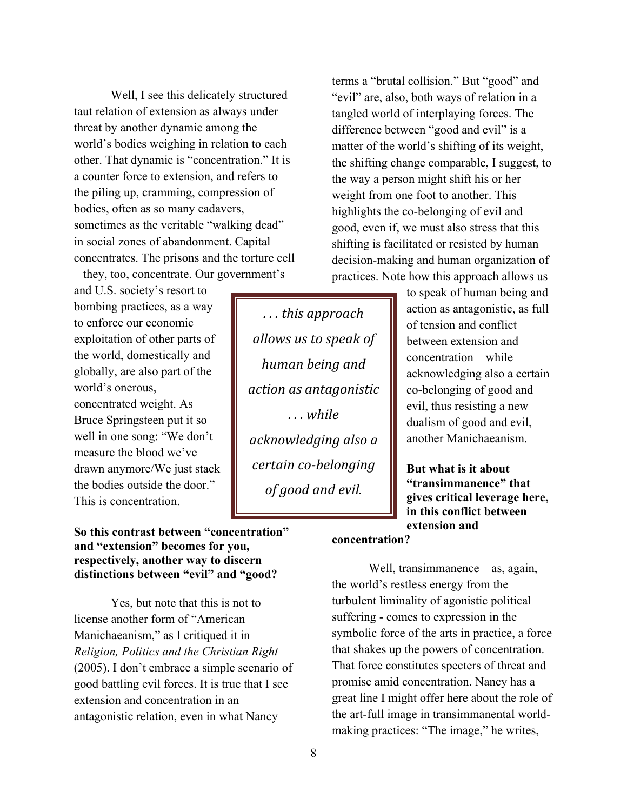Well, I see this delicately structured taut relation of extension as always under threat by another dynamic among the world's bodies weighing in relation to each other. That dynamic is "concentration." It is a counter force to extension, and refers to the piling up, cramming, compression of bodies, often as so many cadavers, sometimes as the veritable "walking dead" in social zones of abandonment. Capital concentrates. The prisons and the torture cell – they, too, concentrate. Our government's

and U.S. society's resort to bombing practices, as a way to enforce our economic exploitation of other parts of the world, domestically and globally, are also part of the world's onerous, concentrated weight. As Bruce Springsteen put it so well in one song: "We don't measure the blood we've drawn anymore/We just stack the bodies outside the door." This is concentration.

## **So this contrast between "concentration" and "extension" becomes for you, respectively, another way to discern distinctions between "evil" and "good?**

Yes, but note that this is not to license another form of "American Manichaeanism," as I critiqued it in *Religion, Politics and the Christian Right* (2005). I don't embrace a simple scenario of good battling evil forces. It is true that I see extension and concentration in an antagonistic relation, even in what Nancy

*.\$.\$.\$this\$approach\$ allows\$us\$to\$speak\$of\$ human\$being\$and\$ action\$as\$antagonistic\$ .\$.\$.\$while\$ acknowledging\$also\$a\$ certain co-belonging of good and evil.* 

terms a "brutal collision." But "good" and "evil" are, also, both ways of relation in a tangled world of interplaying forces. The difference between "good and evil" is a matter of the world's shifting of its weight, the shifting change comparable, I suggest, to the way a person might shift his or her weight from one foot to another. This highlights the co-belonging of evil and good, even if, we must also stress that this shifting is facilitated or resisted by human decision-making and human organization of practices. Note how this approach allows us

> to speak of human being and action as antagonistic, as full of tension and conflict between extension and concentration – while acknowledging also a certain co-belonging of good and evil, thus resisting a new dualism of good and evil, another Manichaeanism.

**But what is it about "transimmanence" that gives critical leverage here, in this conflict between extension and** 

#### **concentration?**

Well, transimmanence – as, again, the world's restless energy from the turbulent liminality of agonistic political suffering - comes to expression in the symbolic force of the arts in practice, a force that shakes up the powers of concentration. That force constitutes specters of threat and promise amid concentration. Nancy has a great line I might offer here about the role of the art-full image in transimmanental worldmaking practices: "The image," he writes,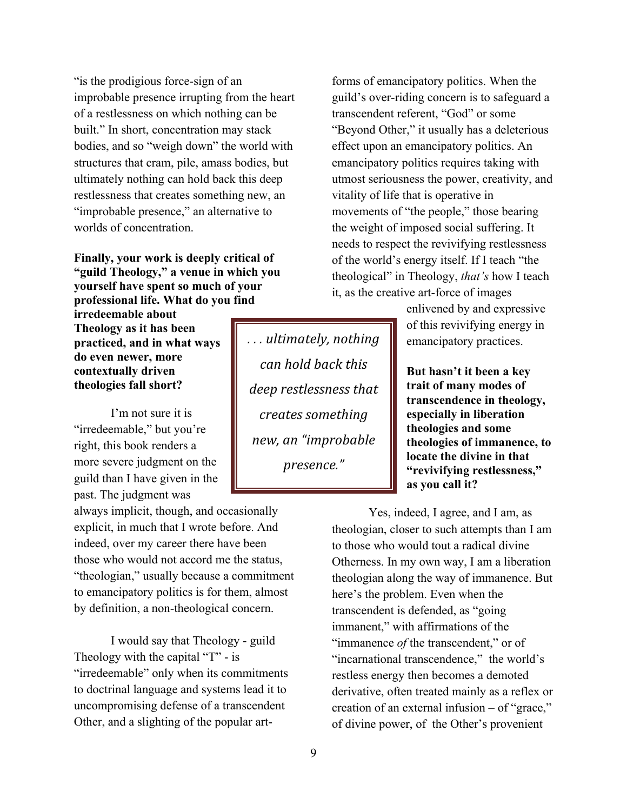"is the prodigious force-sign of an improbable presence irrupting from the heart of a restlessness on which nothing can be built." In short, concentration may stack bodies, and so "weigh down" the world with structures that cram, pile, amass bodies, but ultimately nothing can hold back this deep restlessness that creates something new, an "improbable presence," an alternative to worlds of concentration.

#### **Finally, your work is deeply critical of "guild Theology," a venue in which you yourself have spent so much of your professional life. What do you find**

**irredeemable about Theology as it has been practiced, and in what ways do even newer, more contextually driven theologies fall short?**

I'm not sure it is "irredeemable," but you're right, this book renders a more severe judgment on the guild than I have given in the past. The judgment was

always implicit, though, and occasionally explicit, in much that I wrote before. And indeed, over my career there have been those who would not accord me the status, "theologian," usually because a commitment to emancipatory politics is for them, almost by definition, a non-theological concern.

I would say that Theology - guild Theology with the capital "T" - is "irredeemable" only when its commitments to doctrinal language and systems lead it to uncompromising defense of a transcendent Other, and a slighting of the popular art-

*.\$.\$.\$ultimately,\$nothing\$ can\$hold\$back\$this\$ deep\$restlessness\$that\$ creates\$something\$ new,\$an\$"improbable\$ presence."*

forms of emancipatory politics. When the guild's over-riding concern is to safeguard a transcendent referent, "God" or some "Beyond Other," it usually has a deleterious effect upon an emancipatory politics. An emancipatory politics requires taking with utmost seriousness the power, creativity, and vitality of life that is operative in movements of "the people," those bearing the weight of imposed social suffering. It needs to respect the revivifying restlessness of the world's energy itself. If I teach "the theological" in Theology, *that's* how I teach it, as the creative art-force of images

> enlivened by and expressive of this revivifying energy in emancipatory practices.

**But hasn't it been a key trait of many modes of transcendence in theology, especially in liberation theologies and some theologies of immanence, to locate the divine in that "revivifying restlessness," as you call it?**

Yes, indeed, I agree, and I am, as theologian, closer to such attempts than I am to those who would tout a radical divine Otherness. In my own way, I am a liberation theologian along the way of immanence. But here's the problem. Even when the transcendent is defended, as "going immanent," with affirmations of the "immanence *of* the transcendent," or of "incarnational transcendence," the world's restless energy then becomes a demoted derivative, often treated mainly as a reflex or creation of an external infusion – of "grace," of divine power, of the Other's provenient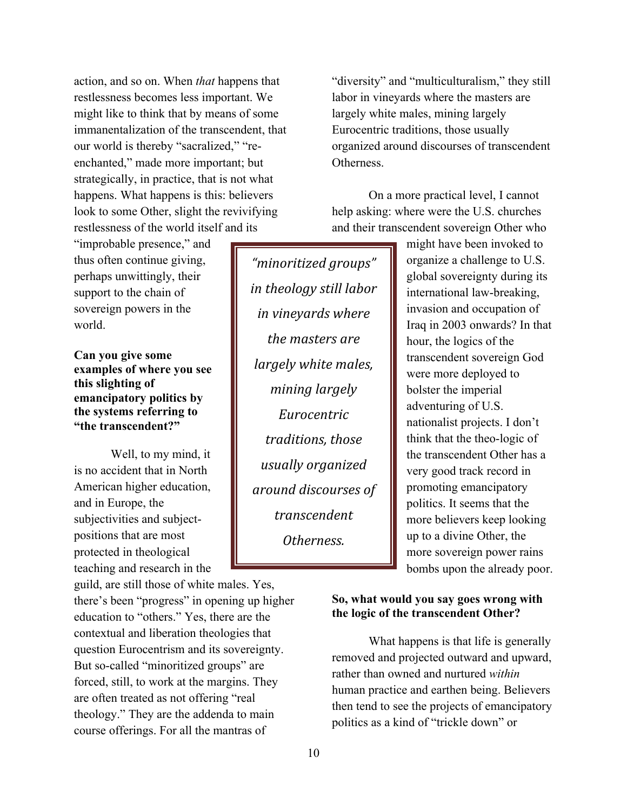action, and so on. When *that* happens that restlessness becomes less important. We might like to think that by means of some immanentalization of the transcendent, that our world is thereby "sacralized," "reenchanted," made more important; but strategically, in practice, that is not what happens. What happens is this: believers look to some Other, slight the revivifying restlessness of the world itself and its

"improbable presence," and thus often continue giving, perhaps unwittingly, their support to the chain of sovereign powers in the world.

## **Can you give some examples of where you see this slighting of emancipatory politics by the systems referring to "the transcendent?"**

Well, to my mind, it is no accident that in North American higher education, and in Europe, the subjectivities and subjectpositions that are most protected in theological teaching and research in the

guild, are still those of white males. Yes, there's been "progress" in opening up higher education to "others." Yes, there are the contextual and liberation theologies that question Eurocentrism and its sovereignty. But so-called "minoritized groups" are forced, still, to work at the margins. They are often treated as not offering "real theology." They are the addenda to main course offerings. For all the mantras of

*"minoritized\$groups"\$ in theology still labor in\$vineyards\$where\$ the\$masters\$are\$ largely white males, mining\$largely\$ Eurocentric\$ traditions,\$those\$ usually\$organized\$ around\$discourses\$of\$ transcendent\$ Otherness.*

"diversity" and "multiculturalism," they still labor in vineyards where the masters are largely white males, mining largely Eurocentric traditions, those usually organized around discourses of transcendent Otherness.

On a more practical level, I cannot help asking: where were the U.S. churches and their transcendent sovereign Other who

> might have been invoked to organize a challenge to U.S. global sovereignty during its international law-breaking, invasion and occupation of Iraq in 2003 onwards? In that hour, the logics of the transcendent sovereign God were more deployed to bolster the imperial adventuring of U.S. nationalist projects. I don't think that the theo-logic of the transcendent Other has a very good track record in promoting emancipatory politics. It seems that the more believers keep looking up to a divine Other, the more sovereign power rains bombs upon the already poor.

## **So, what would you say goes wrong with the logic of the transcendent Other?**

What happens is that life is generally removed and projected outward and upward, rather than owned and nurtured *within* human practice and earthen being. Believers then tend to see the projects of emancipatory politics as a kind of "trickle down" or